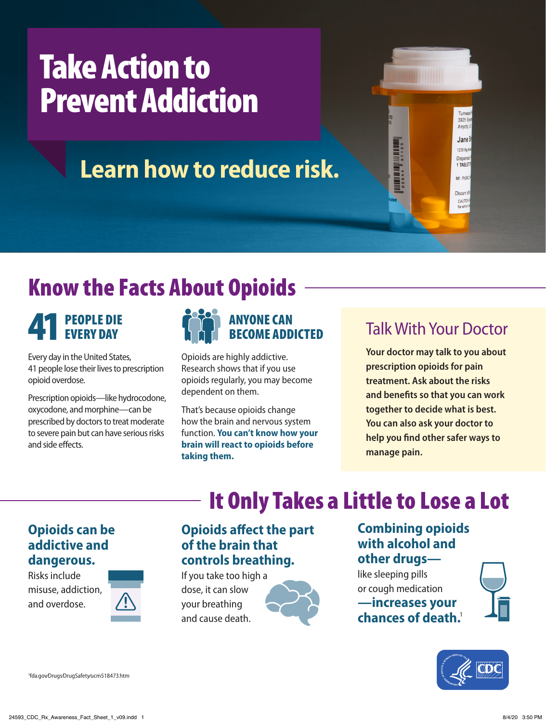# Take Action to Prevent Addiction

## **Learn how to reduce risk.**

## Know the Facts About Opioids

# PEOPLE DIE<br>EVERY DAY

Every day in the United States, 41 people lose their lives to prescription opioid overdose.

Prescription opioids—like hydrocodone, oxycodone, and morphine—can be prescribed by doctors to treat moderate to severe pain but can have serious risks and side effects.



Opioids are highly addictive. Research shows that if you use opioids regularly, you may become dependent on them.

That's because opioids change how the brain and nervous system function. **You can't know how your brain will react to opioids before taking them.**

### Talk With Your Doctor

3925 Sys Anycity. Jane<sup>(</sup> 1235 Big As **Dispers** 1 TABLET Mf PhDBC **Discarda** CAUTIO

**Your doctor may talk to you about prescription opioids for pain treatment. Ask about the risks and benefits so that you can work together to decide what is best. You can also ask your doctor to help you find other safer ways to manage pain.**

#### **Opioids can be addictive and dangerous.**

Risks include misuse, addiction, and overdose.



#### **Opioids affect the part of the brain that controls breathing.**

If you take too high a dose, it can slow your breathing and cause death.



#### **Combining opioids with alcohol and other drugs—**

It Only Takes a Little to Lose a Lot

like sleeping pills or cough medication **—increases your chances of death.**<sup>1</sup>